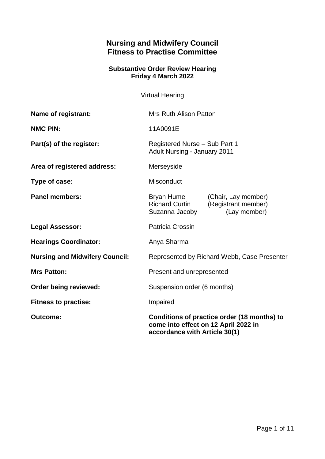# **Nursing and Midwifery Council Fitness to Practise Committee**

#### **Substantive Order Review Hearing Friday 4 March 2022**

Virtual Hearing

| Name of registrant:                   | <b>Mrs Ruth Alison Patton</b>                                                                                        |                                                            |
|---------------------------------------|----------------------------------------------------------------------------------------------------------------------|------------------------------------------------------------|
| <b>NMC PIN:</b>                       | 11A0091E                                                                                                             |                                                            |
| Part(s) of the register:              | Registered Nurse - Sub Part 1<br><b>Adult Nursing - January 2011</b>                                                 |                                                            |
| Area of registered address:           | Merseyside                                                                                                           |                                                            |
| Type of case:                         | Misconduct                                                                                                           |                                                            |
| <b>Panel members:</b>                 | Bryan Hume<br><b>Richard Curtin</b><br>Suzanna Jacoby                                                                | (Chair, Lay member)<br>(Registrant member)<br>(Lay member) |
| <b>Legal Assessor:</b>                | Patricia Crossin                                                                                                     |                                                            |
| <b>Hearings Coordinator:</b>          | Anya Sharma                                                                                                          |                                                            |
| <b>Nursing and Midwifery Council:</b> | Represented by Richard Webb, Case Presenter                                                                          |                                                            |
| <b>Mrs Patton:</b>                    | Present and unrepresented                                                                                            |                                                            |
| Order being reviewed:                 | Suspension order (6 months)                                                                                          |                                                            |
| <b>Fitness to practise:</b>           | Impaired                                                                                                             |                                                            |
| <b>Outcome:</b>                       | Conditions of practice order (18 months) to<br>come into effect on 12 April 2022 in<br>accordance with Article 30(1) |                                                            |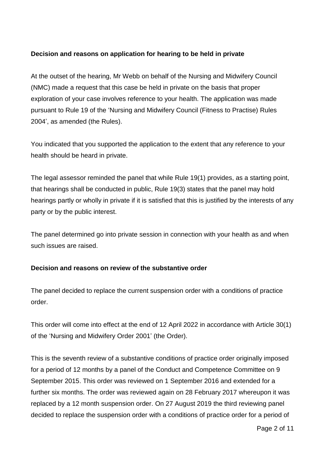## **Decision and reasons on application for hearing to be held in private**

At the outset of the hearing, Mr Webb on behalf of the Nursing and Midwifery Council (NMC) made a request that this case be held in private on the basis that proper exploration of your case involves reference to your health. The application was made pursuant to Rule 19 of the 'Nursing and Midwifery Council (Fitness to Practise) Rules 2004', as amended (the Rules).

You indicated that you supported the application to the extent that any reference to your health should be heard in private.

The legal assessor reminded the panel that while Rule 19(1) provides, as a starting point, that hearings shall be conducted in public, Rule 19(3) states that the panel may hold hearings partly or wholly in private if it is satisfied that this is justified by the interests of any party or by the public interest.

The panel determined go into private session in connection with your health as and when such issues are raised.

## **Decision and reasons on review of the substantive order**

The panel decided to replace the current suspension order with a conditions of practice order.

This order will come into effect at the end of 12 April 2022 in accordance with Article 30(1) of the 'Nursing and Midwifery Order 2001' (the Order).

This is the seventh review of a substantive conditions of practice order originally imposed for a period of 12 months by a panel of the Conduct and Competence Committee on 9 September 2015. This order was reviewed on 1 September 2016 and extended for a further six months. The order was reviewed again on 28 February 2017 whereupon it was replaced by a 12 month suspension order. On 27 August 2019 the third reviewing panel decided to replace the suspension order with a conditions of practice order for a period of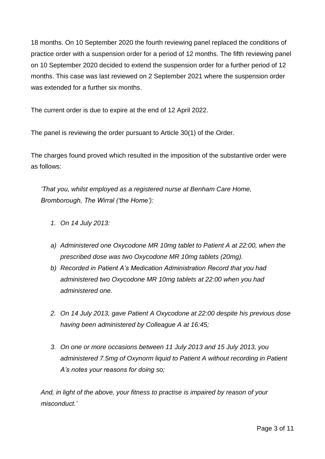18 months. On 10 September 2020 the fourth reviewing panel replaced the conditions of practice order with a suspension order for a period of 12 months. The fifth reviewing panel on 10 September 2020 decided to extend the suspension order for a further period of 12 months. This case was last reviewed on 2 September 2021 where the suspension order was extended for a further six months.

The current order is due to expire at the end of 12 April 2022.

The panel is reviewing the order pursuant to Article 30(1) of the Order.

The charges found proved which resulted in the imposition of the substantive order were as follows:

*'That you, whilst employed as a registered nurse at Benham Care Home, Bromborough, The Wirral ('the Home'):*

- *1. On 14 July 2013:*
- *a) Administered one Oxycodone MR 10mg tablet to Patient A at 22:00, when the prescribed dose was two Oxycodone MR 10mg tablets (20mg).*
- *b) Recorded in Patient A's Medication Administration Record that you had administered two Oxycodone MR 10mg tablets at 22:00 when you had administered one.*
- *2. On 14 July 2013, gave Patient A Oxycodone at 22:00 despite his previous dose having been administered by Colleague A at 16:45;*
- *3. On one or more occasions between 11 July 2013 and 15 July 2013, you administered 7.5mg of Oxynorm liquid to Patient A without recording in Patient A's notes your reasons for doing so;*

*And, in light of the above, your fitness to practise is impaired by reason of your misconduct.'*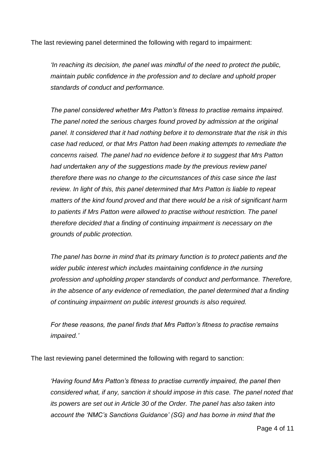The last reviewing panel determined the following with regard to impairment:

*'In reaching its decision, the panel was mindful of the need to protect the public, maintain public confidence in the profession and to declare and uphold proper standards of conduct and performance.*

*The panel considered whether Mrs Patton's fitness to practise remains impaired. The panel noted the serious charges found proved by admission at the original panel. It considered that it had nothing before it to demonstrate that the risk in this case had reduced, or that Mrs Patton had been making attempts to remediate the concerns raised. The panel had no evidence before it to suggest that Mrs Patton had undertaken any of the suggestions made by the previous review panel therefore there was no change to the circumstances of this case since the last review. In light of this, this panel determined that Mrs Patton is liable to repeat matters of the kind found proved and that there would be a risk of significant harm to patients if Mrs Patton were allowed to practise without restriction. The panel therefore decided that a finding of continuing impairment is necessary on the grounds of public protection.*

*The panel has borne in mind that its primary function is to protect patients and the wider public interest which includes maintaining confidence in the nursing profession and upholding proper standards of conduct and performance. Therefore, in the absence of any evidence of remediation, the panel determined that a finding of continuing impairment on public interest grounds is also required.*

*For these reasons, the panel finds that Mrs Patton's fitness to practise remains impaired.'* 

The last reviewing panel determined the following with regard to sanction:

*'Having found Mrs Patton's fitness to practise currently impaired, the panel then considered what, if any, sanction it should impose in this case. The panel noted that its powers are set out in Article 30 of the Order. The panel has also taken into account the 'NMC's Sanctions Guidance' (SG) and has borne in mind that the*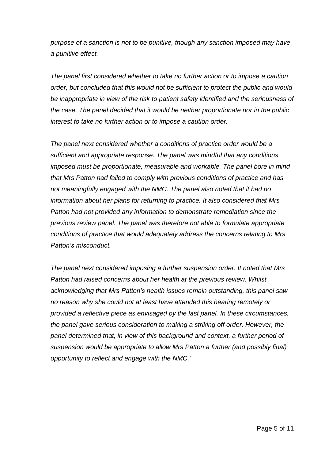*purpose of a sanction is not to be punitive, though any sanction imposed may have a punitive effect.*

*The panel first considered whether to take no further action or to impose a caution order, but concluded that this would not be sufficient to protect the public and would be inappropriate in view of the risk to patient safety identified and the seriousness of the case. The panel decided that it would be neither proportionate nor in the public interest to take no further action or to impose a caution order.*

*The panel next considered whether a conditions of practice order would be a sufficient and appropriate response. The panel was mindful that any conditions imposed must be proportionate, measurable and workable. The panel bore in mind that Mrs Patton had failed to comply with previous conditions of practice and has not meaningfully engaged with the NMC. The panel also noted that it had no information about her plans for returning to practice. It also considered that Mrs Patton had not provided any information to demonstrate remediation since the previous review panel. The panel was therefore not able to formulate appropriate conditions of practice that would adequately address the concerns relating to Mrs Patton's misconduct.*

*The panel next considered imposing a further suspension order. It noted that Mrs Patton had raised concerns about her health at the previous review. Whilst acknowledging that Mrs Patton's health issues remain outstanding, this panel saw no reason why she could not at least have attended this hearing remotely or provided a reflective piece as envisaged by the last panel. In these circumstances, the panel gave serious consideration to making a striking off order. However, the panel determined that, in view of this background and context, a further period of suspension would be appropriate to allow Mrs Patton a further (and possibly final) opportunity to reflect and engage with the NMC.'*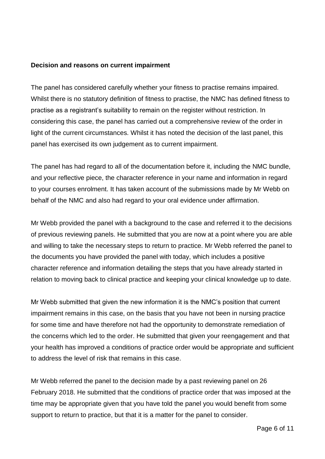#### **Decision and reasons on current impairment**

The panel has considered carefully whether your fitness to practise remains impaired. Whilst there is no statutory definition of fitness to practise, the NMC has defined fitness to practise as a registrant's suitability to remain on the register without restriction. In considering this case, the panel has carried out a comprehensive review of the order in light of the current circumstances. Whilst it has noted the decision of the last panel, this panel has exercised its own judgement as to current impairment.

The panel has had regard to all of the documentation before it, including the NMC bundle, and your reflective piece, the character reference in your name and information in regard to your courses enrolment. It has taken account of the submissions made by Mr Webb on behalf of the NMC and also had regard to your oral evidence under affirmation.

Mr Webb provided the panel with a background to the case and referred it to the decisions of previous reviewing panels. He submitted that you are now at a point where you are able and willing to take the necessary steps to return to practice. Mr Webb referred the panel to the documents you have provided the panel with today, which includes a positive character reference and information detailing the steps that you have already started in relation to moving back to clinical practice and keeping your clinical knowledge up to date.

Mr Webb submitted that given the new information it is the NMC's position that current impairment remains in this case, on the basis that you have not been in nursing practice for some time and have therefore not had the opportunity to demonstrate remediation of the concerns which led to the order. He submitted that given your reengagement and that your health has improved a conditions of practice order would be appropriate and sufficient to address the level of risk that remains in this case.

Mr Webb referred the panel to the decision made by a past reviewing panel on 26 February 2018. He submitted that the conditions of practice order that was imposed at the time may be appropriate given that you have told the panel you would benefit from some support to return to practice, but that it is a matter for the panel to consider.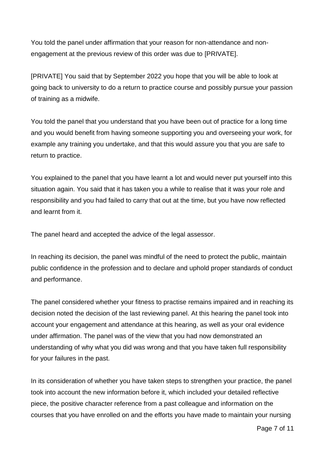You told the panel under affirmation that your reason for non-attendance and nonengagement at the previous review of this order was due to [PRIVATE].

[PRIVATE] You said that by September 2022 you hope that you will be able to look at going back to university to do a return to practice course and possibly pursue your passion of training as a midwife.

You told the panel that you understand that you have been out of practice for a long time and you would benefit from having someone supporting you and overseeing your work, for example any training you undertake, and that this would assure you that you are safe to return to practice.

You explained to the panel that you have learnt a lot and would never put yourself into this situation again. You said that it has taken you a while to realise that it was your role and responsibility and you had failed to carry that out at the time, but you have now reflected and learnt from it.

The panel heard and accepted the advice of the legal assessor.

In reaching its decision, the panel was mindful of the need to protect the public, maintain public confidence in the profession and to declare and uphold proper standards of conduct and performance.

The panel considered whether your fitness to practise remains impaired and in reaching its decision noted the decision of the last reviewing panel. At this hearing the panel took into account your engagement and attendance at this hearing, as well as your oral evidence under affirmation. The panel was of the view that you had now demonstrated an understanding of why what you did was wrong and that you have taken full responsibility for your failures in the past.

In its consideration of whether you have taken steps to strengthen your practice, the panel took into account the new information before it, which included your detailed reflective piece, the positive character reference from a past colleague and information on the courses that you have enrolled on and the efforts you have made to maintain your nursing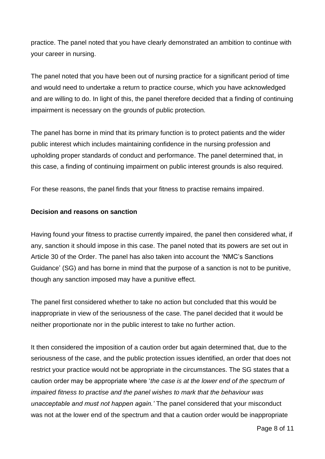practice. The panel noted that you have clearly demonstrated an ambition to continue with your career in nursing.

The panel noted that you have been out of nursing practice for a significant period of time and would need to undertake a return to practice course, which you have acknowledged and are willing to do. In light of this, the panel therefore decided that a finding of continuing impairment is necessary on the grounds of public protection.

The panel has borne in mind that its primary function is to protect patients and the wider public interest which includes maintaining confidence in the nursing profession and upholding proper standards of conduct and performance. The panel determined that, in this case, a finding of continuing impairment on public interest grounds is also required.

For these reasons, the panel finds that your fitness to practise remains impaired.

### **Decision and reasons on sanction**

Having found your fitness to practise currently impaired, the panel then considered what, if any, sanction it should impose in this case. The panel noted that its powers are set out in Article 30 of the Order. The panel has also taken into account the 'NMC's Sanctions Guidance' (SG) and has borne in mind that the purpose of a sanction is not to be punitive, though any sanction imposed may have a punitive effect.

The panel first considered whether to take no action but concluded that this would be inappropriate in view of the seriousness of the case. The panel decided that it would be neither proportionate nor in the public interest to take no further action.

It then considered the imposition of a caution order but again determined that, due to the seriousness of the case, and the public protection issues identified, an order that does not restrict your practice would not be appropriate in the circumstances. The SG states that a caution order may be appropriate where '*the case is at the lower end of the spectrum of impaired fitness to practise and the panel wishes to mark that the behaviour was unacceptable and must not happen again.'* The panel considered that your misconduct was not at the lower end of the spectrum and that a caution order would be inappropriate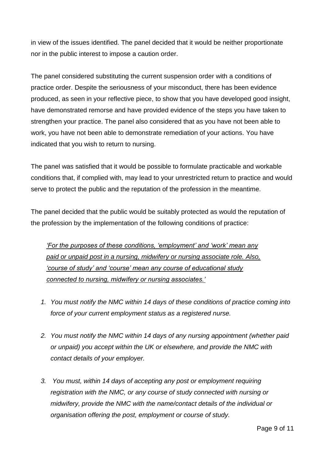in view of the issues identified. The panel decided that it would be neither proportionate nor in the public interest to impose a caution order.

The panel considered substituting the current suspension order with a conditions of practice order. Despite the seriousness of your misconduct, there has been evidence produced, as seen in your reflective piece, to show that you have developed good insight, have demonstrated remorse and have provided evidence of the steps you have taken to strengthen your practice. The panel also considered that as you have not been able to work, you have not been able to demonstrate remediation of your actions. You have indicated that you wish to return to nursing.

The panel was satisfied that it would be possible to formulate practicable and workable conditions that, if complied with, may lead to your unrestricted return to practice and would serve to protect the public and the reputation of the profession in the meantime.

The panel decided that the public would be suitably protected as would the reputation of the profession by the implementation of the following conditions of practice:

*'For the purposes of these conditions, 'employment' and 'work' mean any paid or unpaid post in a nursing, midwifery or nursing associate role. Also, 'course of study' and 'course' mean any course of educational study connected to nursing, midwifery or nursing associates.'*

- *1. You must notify the NMC within 14 days of these conditions of practice coming into force of your current employment status as a registered nurse.*
- *2. You must notify the NMC within 14 days of any nursing appointment (whether paid or unpaid) you accept within the UK or elsewhere, and provide the NMC with contact details of your employer.*
- *3. You must, within 14 days of accepting any post or employment requiring registration with the NMC, or any course of study connected with nursing or midwifery, provide the NMC with the name/contact details of the individual or organisation offering the post, employment or course of study.*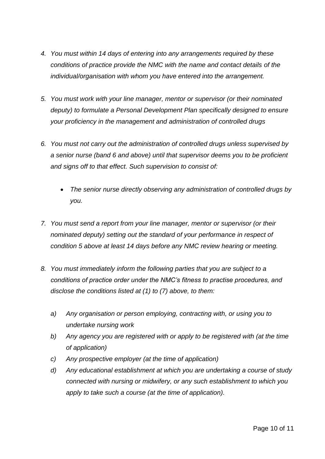- *4. You must within 14 days of entering into any arrangements required by these conditions of practice provide the NMC with the name and contact details of the individual/organisation with whom you have entered into the arrangement.*
- *5. You must work with your line manager, mentor or supervisor (or their nominated deputy) to formulate a Personal Development Plan specifically designed to ensure your proficiency in the management and administration of controlled drugs*
- *6. You must not carry out the administration of controlled drugs unless supervised by a senior nurse (band 6 and above) until that supervisor deems you to be proficient and signs off to that effect. Such supervision to consist of:*
	- *The senior nurse directly observing any administration of controlled drugs by you.*
- *7. You must send a report from your line manager, mentor or supervisor (or their nominated deputy) setting out the standard of your performance in respect of condition 5 above at least 14 days before any NMC review hearing or meeting.*
- *8. You must immediately inform the following parties that you are subject to a conditions of practice order under the NMC's fitness to practise procedures, and disclose the conditions listed at (1) to (7) above, to them:*
	- *a) Any organisation or person employing, contracting with, or using you to undertake nursing work*
	- *b) Any agency you are registered with or apply to be registered with (at the time of application)*
	- *c) Any prospective employer (at the time of application)*
	- *d) Any educational establishment at which you are undertaking a course of study connected with nursing or midwifery, or any such establishment to which you apply to take such a course (at the time of application).*